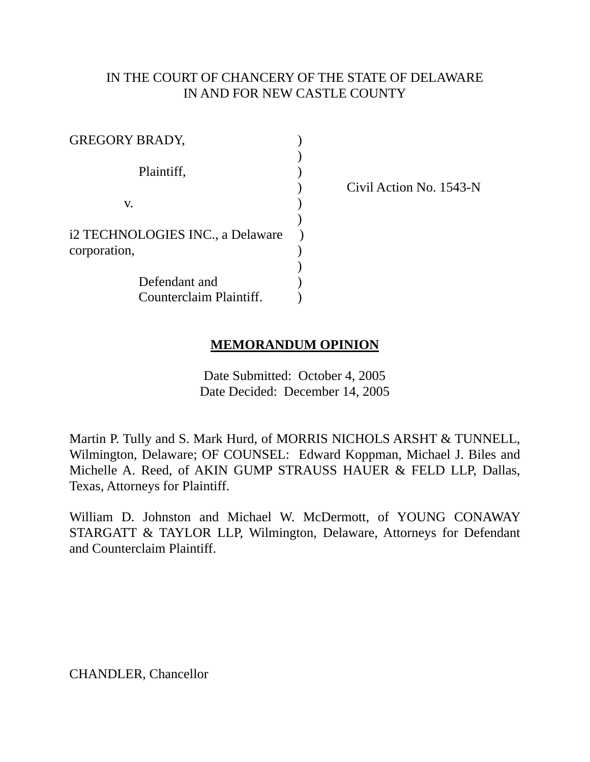## IN THE COURT OF CHANCERY OF THE STATE OF DELAWARE IN AND FOR NEW CASTLE COUNTY

| <b>GREGORY BRADY,</b>            |  |
|----------------------------------|--|
|                                  |  |
| Plaintiff,                       |  |
|                                  |  |
| V.                               |  |
|                                  |  |
| i2 TECHNOLOGIES INC., a Delaware |  |
| corporation,                     |  |
|                                  |  |
| Defendant and                    |  |
| Counterclaim Plaintiff.          |  |

) Civil Action No. 1543-N

## **MEMORANDUM OPINION**

Date Submitted: October 4, 2005 Date Decided: December 14, 2005

Martin P. Tully and S. Mark Hurd, of MORRIS NICHOLS ARSHT & TUNNELL, Wilmington, Delaware; OF COUNSEL: Edward Koppman, Michael J. Biles and Michelle A. Reed, of AKIN GUMP STRAUSS HAUER & FELD LLP, Dallas, Texas, Attorneys for Plaintiff.

William D. Johnston and Michael W. McDermott, of YOUNG CONAWAY STARGATT & TAYLOR LLP, Wilmington, Delaware, Attorneys for Defendant and Counterclaim Plaintiff.

CHANDLER, Chancellor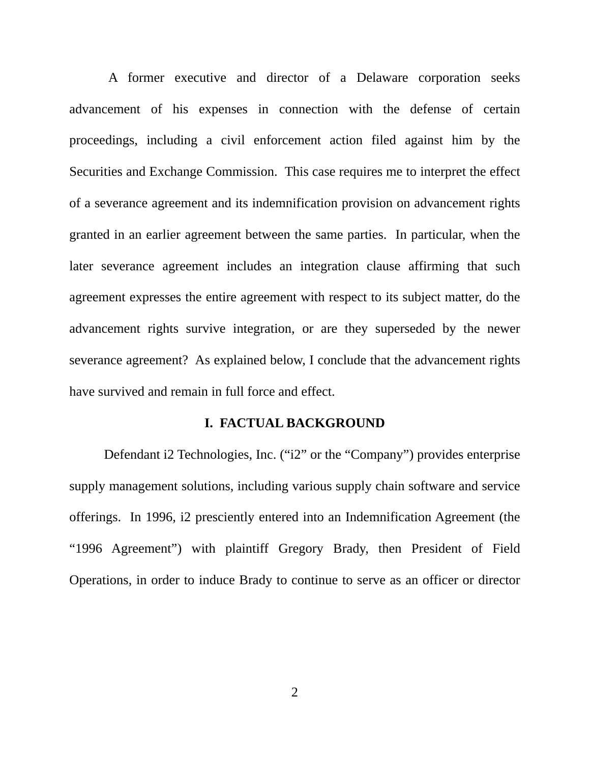A former executive and director of a Delaware corporation seeks advancement of his expenses in connection with the defense of certain proceedings, including a civil enforcement action filed against him by the Securities and Exchange Commission. This case requires me to interpret the effect of a severance agreement and its indemnification provision on advancement rights granted in an earlier agreement between the same parties. In particular, when the later severance agreement includes an integration clause affirming that such agreement expresses the entire agreement with respect to its subject matter, do the advancement rights survive integration, or are they superseded by the newer severance agreement? As explained below, I conclude that the advancement rights have survived and remain in full force and effect.

### **I. FACTUAL BACKGROUND**

Defendant i2 Technologies, Inc. ("i2" or the "Company") provides enterprise supply management solutions, including various supply chain software and service offerings. In 1996, i2 presciently entered into an Indemnification Agreement (the "1996 Agreement") with plaintiff Gregory Brady, then President of Field Operations, in order to induce Brady to continue to serve as an officer or director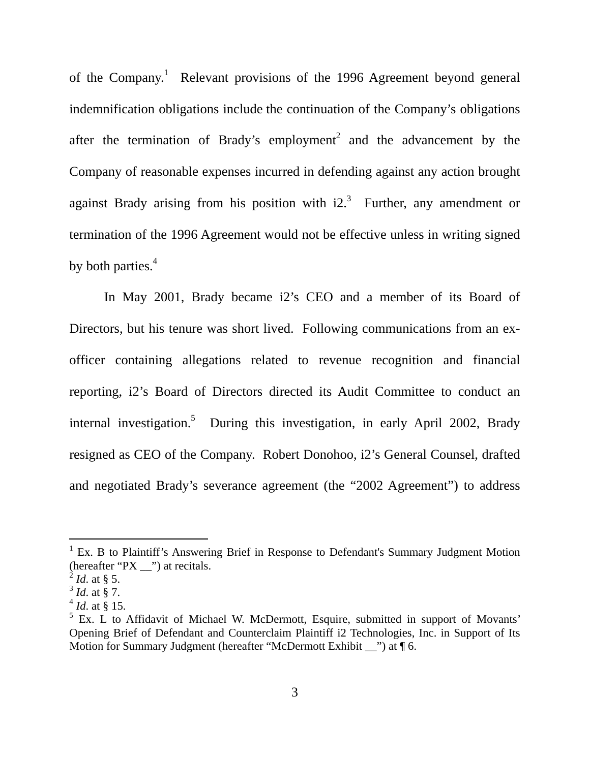of the Company.<sup>1</sup> Relevant provisions of the 1996 Agreement beyond general indemnification obligations include the continuation of the Company's obligations after the termination of Brady's employment<sup>[2](#page-2-1)</sup> and the advancement by the Company of reasonable expenses incurred in defending against any action brought against Brady arising from his position with  $i2<sup>3</sup>$  Further, any amendment or termination of the 1996 Agreement would not be effective unless in writing signed by both parties.<sup>[4](#page-2-3)</sup>

In May 2001, Brady became i2's CEO and a member of its Board of Directors, but his tenure was short lived. Following communications from an exofficer containing allegations related to revenue recognition and financial reporting, i2's Board of Directors directed its Audit Committee to conduct an internal investigation.<sup>5</sup> During this investigation, in early April 2002, Brady resigned as CEO of the Company. Robert Donohoo, i2's General Counsel, drafted and negotiated Brady's severance agreement (the "2002 Agreement") to address

<span id="page-2-0"></span><sup>&</sup>lt;sup>1</sup> Ex. B to Plaintiff's Answering Brief in Response to Defendant's Summary Judgment Motion (hereafter "PX \_\_") at recitals.

<span id="page-2-1"></span> $^{2}$  *Id.* at § 5.

<span id="page-2-2"></span><sup>3</sup> *Id*. at § 7.

<span id="page-2-3"></span> $^{4}$  *Id.* at § 15.

<span id="page-2-4"></span> $<sup>5</sup>$  Ex. L to Affidavit of Michael W. McDermott, Esquire, submitted in support of Movants'</sup> Opening Brief of Defendant and Counterclaim Plaintiff i2 Technologies, Inc. in Support of Its Motion for Summary Judgment (hereafter "McDermott Exhibit  $\cdots$ ) at  $\P$  6.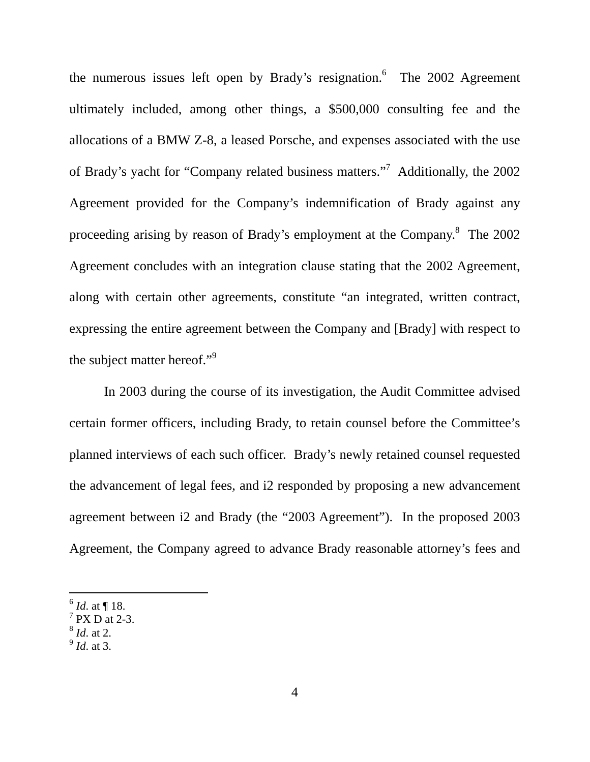the numerous issues left open by Brady's resignation. The  $2002$  Agreement ultimately included, among other things, a \$500,000 consulting fee and the allocations of a BMW Z-8, a leased Porsche, and expenses associated with the use of Brady's yacht for "Company related business matters."<sup>[7](#page-3-1)</sup> Additionally, the 2002 Agreement provided for the Company's indemnification of Brady against any proceeding arising by reason of Brady's employment at the Company.<sup>[8](#page-3-2)</sup> The 2002 Agreement concludes with an integration clause stating that the 2002 Agreement, along with certain other agreements, constitute "an integrated, written contract, expressing the entire agreement between the Company and [Brady] with respect to the subject matter hereof."<sup>[9](#page-3-3)</sup>

In 2003 during the course of its investigation, the Audit Committee advised certain former officers, including Brady, to retain counsel before the Committee's planned interviews of each such officer. Brady's newly retained counsel requested the advancement of legal fees, and i2 responded by proposing a new advancement agreement between i2 and Brady (the "2003 Agreement"). In the proposed 2003 Agreement, the Company agreed to advance Brady reasonable attorney's fees and

- <span id="page-3-2"></span><sup>8</sup> *Id*. at 2.
- <span id="page-3-3"></span><sup>9</sup> *Id*. at 3.

<span id="page-3-0"></span><sup>6</sup> *Id*. at ¶ 18.

<span id="page-3-1"></span> $7$  PX D at 2-3.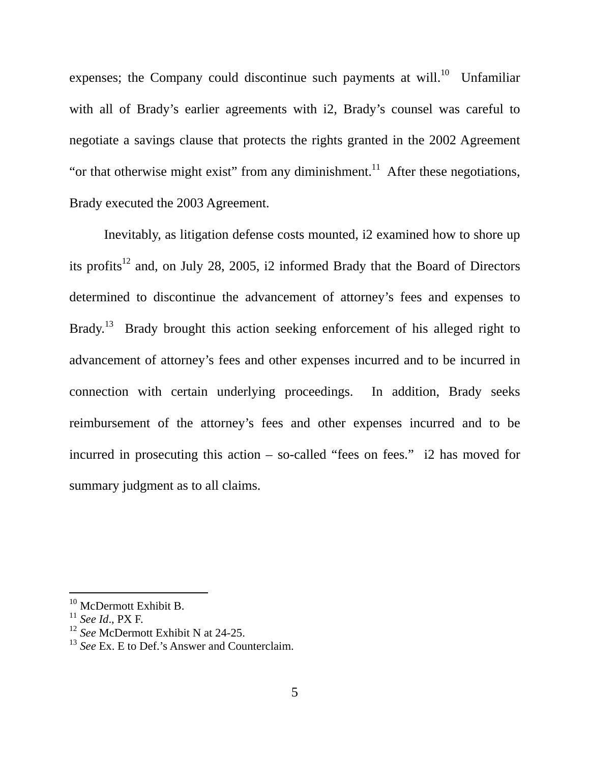expenses; the Company could discontinue such payments at will.<sup>10</sup> Unfamiliar with all of Brady's earlier agreements with i2, Brady's counsel was careful to negotiate a savings clause that protects the rights granted in the 2002 Agreement "or that otherwise might exist" from any diminishment.<sup>11</sup> After these negotiations, Brady executed the 2003 Agreement.

Inevitably, as litigation defense costs mounted, i2 examined how to shore up its profits<sup>12</sup> and, on July 28, 2005, i2 informed Brady that the Board of Directors determined to discontinue the advancement of attorney's fees and expenses to Brady.<sup>13</sup> Brady brought this action seeking enforcement of his alleged right to advancement of attorney's fees and other expenses incurred and to be incurred in connection with certain underlying proceedings. In addition, Brady seeks reimbursement of the attorney's fees and other expenses incurred and to be incurred in prosecuting this action – so-called "fees on fees." i2 has moved for summary judgment as to all claims.

<span id="page-4-0"></span><sup>&</sup>lt;sup>10</sup> McDermott Exhibit B.

<span id="page-4-1"></span><sup>11</sup> *See Id*., PX F.

<span id="page-4-2"></span><sup>12</sup> *See* McDermott Exhibit N at 24-25.

<span id="page-4-3"></span><sup>&</sup>lt;sup>13</sup> *See* Ex. E to Def.'s Answer and Counterclaim.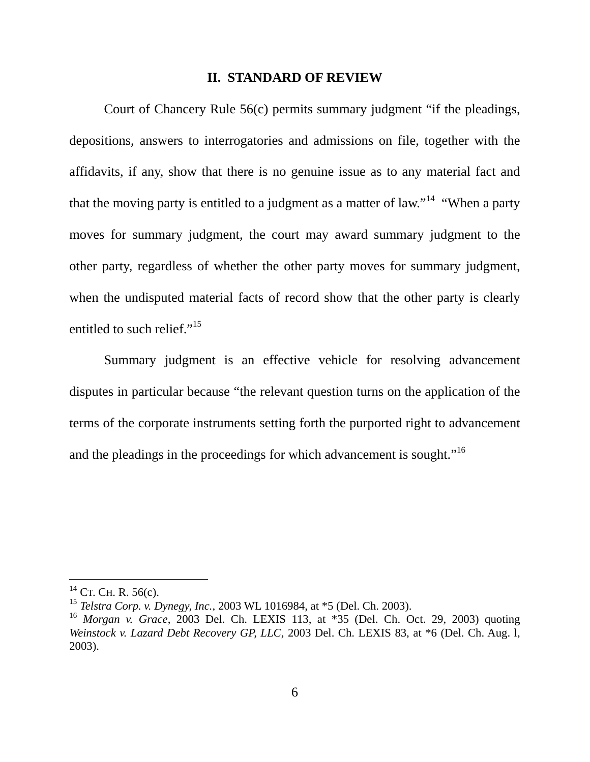#### **II. STANDARD OF REVIEW**

Court of Chancery Rule 56(c) permits summary judgment "if the pleadings, depositions, answers to interrogatories and admissions on file, together with the affidavits, if any, show that there is no genuine issue as to any material fact and that the moving party is entitled to a judgment as a matter of law."<sup>14</sup> "When a party" moves for summary judgment, the court may award summary judgment to the other party, regardless of whether the other party moves for summary judgment, when the undisputed material facts of record show that the other party is clearly entitled to such relief."<sup>15</sup>

Summary judgment is an effective vehicle for resolving advancement disputes in particular because "the relevant question turns on the application of the terms of the corporate instruments setting forth the purported right to advancement and the pleadings in the proceedings for which advancement is sought."<sup>16</sup>

<span id="page-5-0"></span> $^{14}$  CT. CH. R. 56(c).

<span id="page-5-1"></span><sup>15</sup> *Telstra Corp. v. Dynegy, Inc.*, 2003 WL 1016984, at \*5 (Del. Ch. 2003).

<span id="page-5-2"></span><sup>16</sup> *Morgan v. Grace*, 2003 Del. Ch. LEXIS 113, at \*35 (Del. Ch. Oct. 29, 2003) quoting *Weinstock v. Lazard Debt Recovery GP, LLC*, 2003 Del. Ch. LEXIS 83, at \*6 (Del. Ch. Aug. l, 2003).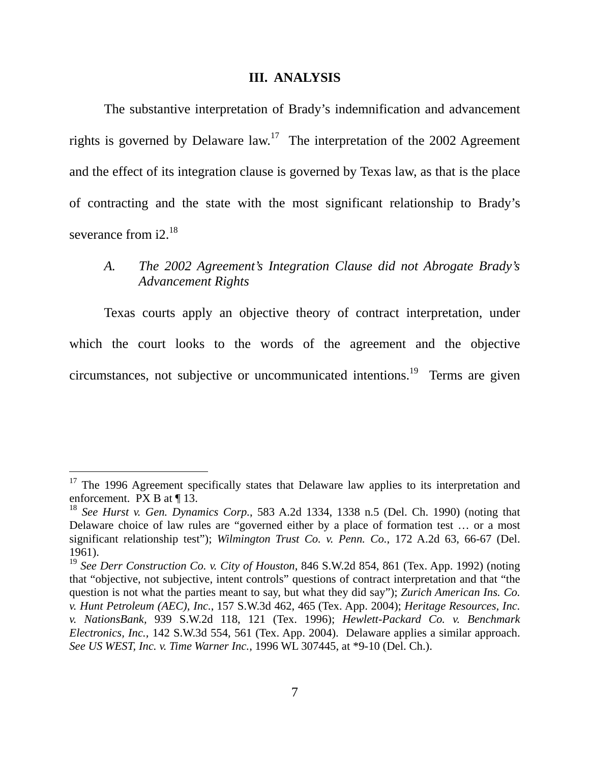#### **III. ANALYSIS**

The substantive interpretation of Brady's indemnification and advancement rights is governed by Delaware  $\text{law}^{17}$ . The interpretation of the 2002 Agreement and the effect of its integration clause is governed by Texas law, as that is the place of contracting and the state with the most significant relationship to Brady's severance from  $i2^{18}$ 

## *A. The 2002 Agreement's Integration Clause did not Abrogate Brady's Advancement Rights*

Texas courts apply an objective theory of contract interpretation, under which the court looks to the words of the agreement and the objective circumstances, not subjective or uncommunicated intentions[.19](#page-6-2) Terms are given

<span id="page-6-0"></span> $17$  The 1996 Agreement specifically states that Delaware law applies to its interpretation and enforcement. PX B at ¶ 13.

<span id="page-6-1"></span><sup>18</sup> *See Hurst v. Gen. Dynamics Corp.*, 583 A.2d 1334, 1338 n.5 (Del. Ch. 1990) (noting that Delaware choice of law rules are "governed either by a place of formation test … or a most significant relationship test"); *Wilmington Trust Co. v. Penn. Co.*, 172 A.2d 63, 66-67 (Del. 1961).

<span id="page-6-2"></span><sup>19</sup> *See Derr Construction Co. v. City of Houston*, 846 S.W.2d 854, 861 (Tex. App. 1992) (noting that "objective, not subjective, intent controls" questions of contract interpretation and that "the question is not what the parties meant to say, but what they did say"); *Zurich American Ins. Co. v. Hunt Petroleum (AEC), Inc.*, 157 S.W.3d 462, 465 (Tex. App. 2004); *Heritage Resources, Inc. v. NationsBank,* 939 S.W.2d 118, 121 (Tex. 1996); *Hewlett-Packard Co. v. Benchmark Electronics, Inc.,* 142 S.W.3d 554, 561 (Tex. App. 2004). Delaware applies a similar approach. *See US WEST, Inc. v. Time Warner Inc.*, 1996 WL 307445, at \*9-10 (Del. Ch.).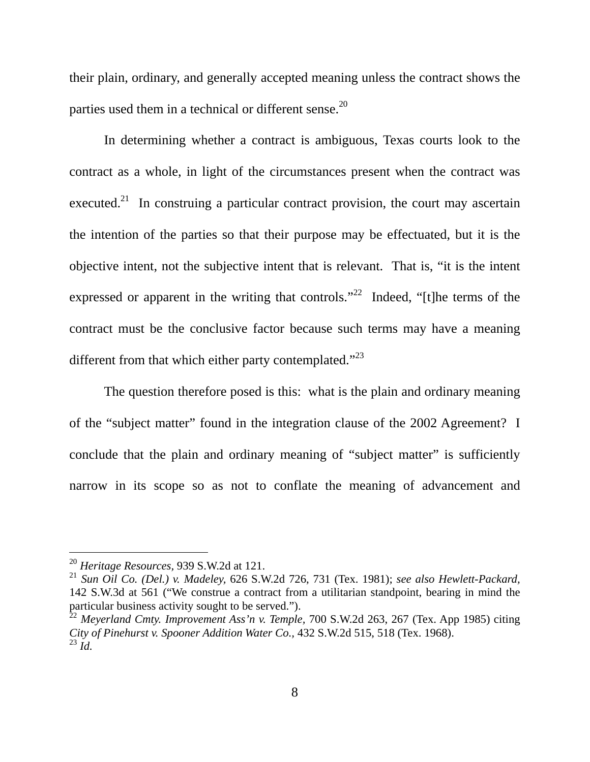their plain, ordinary, and generally accepted meaning unless the contract shows the parties used them in a technical or different sense.<sup>20</sup>

In determining whether a contract is ambiguous, Texas courts look to the contract as a whole, in light of the circumstances present when the contract was executed.<sup>21</sup> In construing a particular contract provision, the court may ascertain the intention of the parties so that their purpose may be effectuated, but it is the objective intent, not the subjective intent that is relevant. That is, "it is the intent expressed or apparent in the writing that controls.<sup> $22$ </sup> Indeed, "[t]he terms of the contract must be the conclusive factor because such terms may have a meaning different from that which either party contemplated."<sup>23</sup>

The question therefore posed is this: what is the plain and ordinary meaning of the "subject matter" found in the integration clause of the 2002 Agreement? I conclude that the plain and ordinary meaning of "subject matter" is sufficiently narrow in its scope so as not to conflate the meaning of advancement and

<span id="page-7-0"></span><sup>20</sup> *Heritage Resources,* 939 S.W.2d at 121.

<span id="page-7-1"></span><sup>21</sup> *Sun Oil Co. (Del.) v. Madeley,* 626 S.W.2d 726, 731 (Tex. 1981); *see also Hewlett-Packard,* 142 S.W.3d at 561 ("We construe a contract from a utilitarian standpoint, bearing in mind the particular business activity sought to be served.").

<span id="page-7-3"></span><span id="page-7-2"></span><sup>22</sup> *Meyerland Cmty. Improvement Ass'n v. Temple,* 700 S.W.2d 263, 267 (Tex. App 1985) citing *City of Pinehurst v. Spooner Addition Water Co.,* 432 S.W.2d 515, 518 (Tex. 1968).  $^{23}$  *Id.*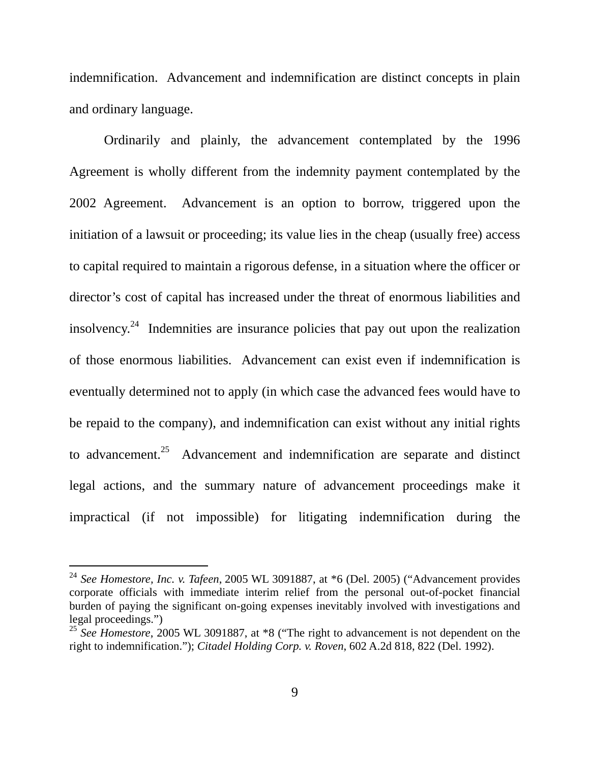indemnification. Advancement and indemnification are distinct concepts in plain and ordinary language.

Ordinarily and plainly, the advancement contemplated by the 1996 Agreement is wholly different from the indemnity payment contemplated by the 2002 Agreement. Advancement is an option to borrow, triggered upon the initiation of a lawsuit or proceeding; its value lies in the cheap (usually free) access to capital required to maintain a rigorous defense, in a situation where the officer or director's cost of capital has increased under the threat of enormous liabilities and insolvency.<sup>24</sup> Indemnities are insurance policies that pay out upon the realization of those enormous liabilities. Advancement can exist even if indemnification is eventually determined not to apply (in which case the advanced fees would have to be repaid to the company), and indemnification can exist without any initial rights to advancement.<sup>25</sup> Advancement and indemnification are separate and distinct legal actions, and the summary nature of advancement proceedings make it impractical (if not impossible) for litigating indemnification during the

<span id="page-8-0"></span><sup>24</sup> *See Homestore, Inc. v. Tafeen*, 2005 WL 3091887, at \*6 (Del. 2005) ("Advancement provides corporate officials with immediate interim relief from the personal out-of-pocket financial burden of paying the significant on-going expenses inevitably involved with investigations and legal proceedings.")

<span id="page-8-1"></span><sup>&</sup>lt;sup>25</sup> See Homestore, 2005 WL 3091887, at \*8 ("The right to advancement is not dependent on the right to indemnification."); *Citadel Holding Corp. v. Roven*, 602 A.2d 818, 822 (Del. 1992).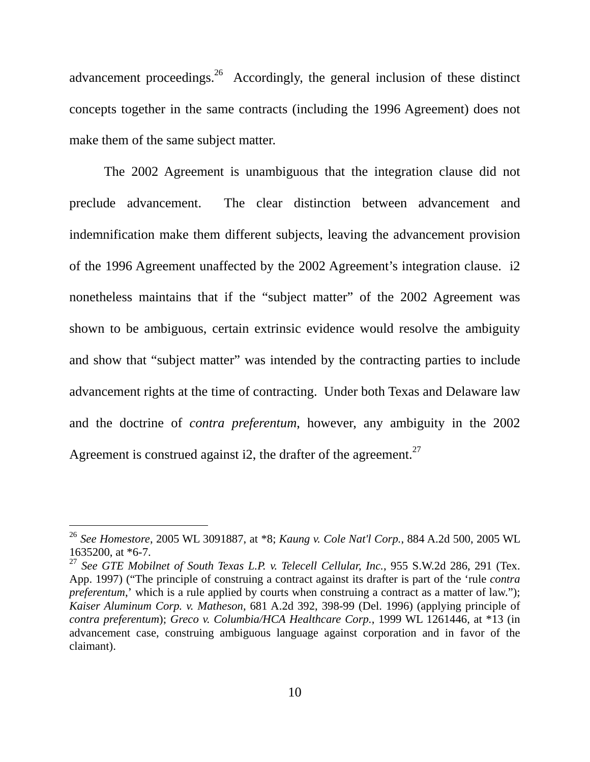advancement proceedings.<sup>26</sup> Accordingly, the general inclusion of these distinct concepts together in the same contracts (including the 1996 Agreement) does not make them of the same subject matter.

The 2002 Agreement is unambiguous that the integration clause did not preclude advancement. The clear distinction between advancement and indemnification make them different subjects, leaving the advancement provision of the 1996 Agreement unaffected by the 2002 Agreement's integration clause. i2 nonetheless maintains that if the "subject matter" of the 2002 Agreement was shown to be ambiguous, certain extrinsic evidence would resolve the ambiguity and show that "subject matter" was intended by the contracting parties to include advancement rights at the time of contracting. Under both Texas and Delaware law and the doctrine of *contra preferentum*, however, any ambiguity in the 2002 Agreement is construed against i2, the drafter of the agreement.<sup>27</sup>

<span id="page-9-0"></span><sup>26</sup> *See Homestore*, 2005 WL 3091887, at \*8; *Kaung v. Cole Nat'l Corp.*, 884 A.2d 500, 2005 WL 1635200, at \*6-7.

<span id="page-9-1"></span><sup>27</sup> *See GTE Mobilnet of South Texas L.P. v. Telecell Cellular, Inc.*, 955 S.W.2d 286, 291 (Tex. App. 1997) ("The principle of construing a contract against its drafter is part of the 'rule *contra preferentum*,' which is a rule applied by courts when construing a contract as a matter of law."); *Kaiser Aluminum Corp. v. Matheson*, 681 A.2d 392, 398-99 (Del. 1996) (applying principle of *contra preferentum*); *Greco v. Columbia/HCA Healthcare Corp.*, 1999 WL 1261446, at \*13 (in advancement case, construing ambiguous language against corporation and in favor of the claimant).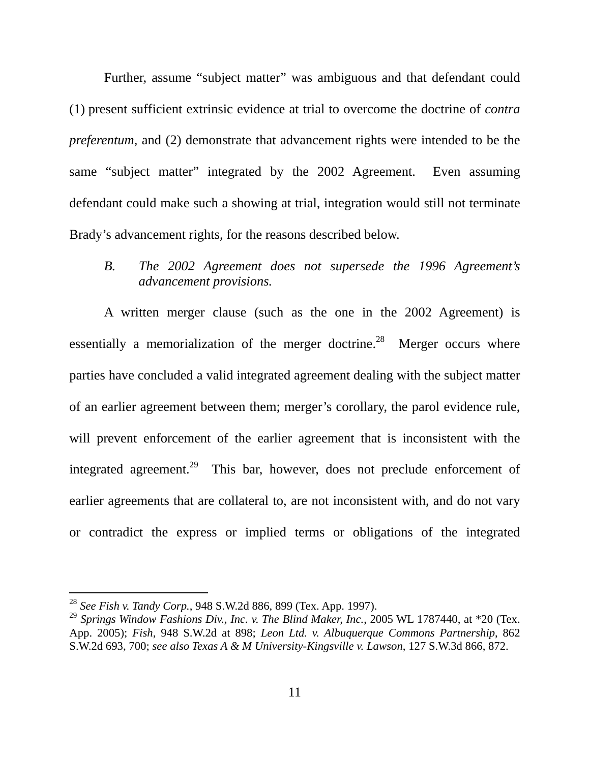Further, assume "subject matter" was ambiguous and that defendant could (1) present sufficient extrinsic evidence at trial to overcome the doctrine of *contra preferentum*, and (2) demonstrate that advancement rights were intended to be the same "subject matter" integrated by the 2002 Agreement. Even assuming defendant could make such a showing at trial, integration would still not terminate Brady's advancement rights, for the reasons described below.

# *B. The 2002 Agreement does not supersede the 1996 Agreement's advancement provisions.*

A written merger clause (such as the one in the 2002 Agreement) is essentially a memorialization of the merger doctrine.<sup>28</sup> Merger occurs where parties have concluded a valid integrated agreement dealing with the subject matter of an earlier agreement between them; merger's corollary, the parol evidence rule, will prevent enforcement of the earlier agreement that is inconsistent with the integrated agreement.<sup>29</sup> This bar, however, does not preclude enforcement of earlier agreements that are collateral to, are not inconsistent with, and do not vary or contradict the express or implied terms or obligations of the integrated

<span id="page-10-0"></span><sup>28</sup> *See Fish v. Tandy Corp.*, 948 S.W.2d 886, 899 (Tex. App. 1997).

<span id="page-10-1"></span><sup>&</sup>lt;sup>29</sup> Springs Window Fashions Div., Inc. v. The Blind Maker, Inc., 2005 WL 1787440, at \*20 (Tex. App. 2005); *Fish*, 948 S.W.2d at 898; *Leon Ltd. v. Albuquerque Commons Partnership*, 862 S.W.2d 693, 700; *see also Texas A & M University-Kingsville v. Lawson*, 127 S.W.3d 866, 872.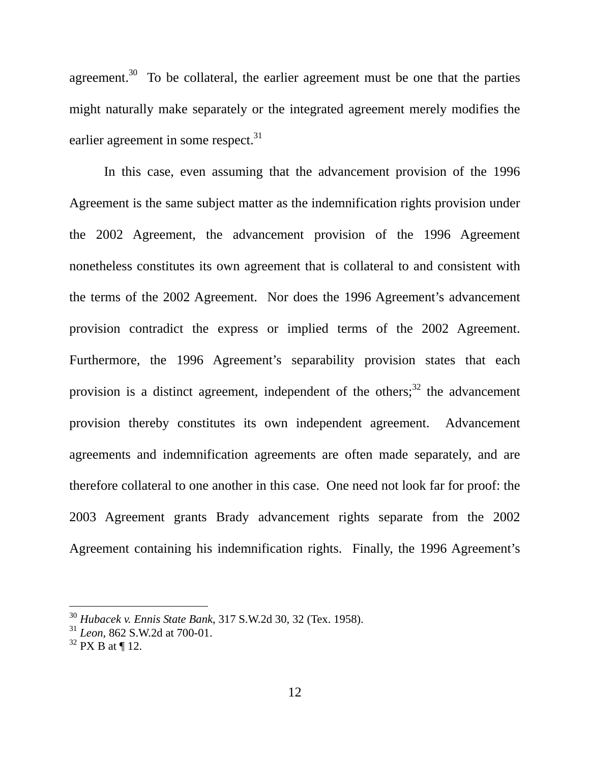agreement.<sup>30</sup> To be collateral, the earlier agreement must be one that the parties might naturally make separately or the integrated agreement merely modifies the earlier agreement in some respect. $31$ 

In this case, even assuming that the advancement provision of the 1996 Agreement is the same subject matter as the indemnification rights provision under the 2002 Agreement, the advancement provision of the 1996 Agreement nonetheless constitutes its own agreement that is collateral to and consistent with the terms of the 2002 Agreement. Nor does the 1996 Agreement's advancement provision contradict the express or implied terms of the 2002 Agreement. Furthermore, the 1996 Agreement's separability provision states that each provision is a distinct agreement, independent of the others; $32$  the advancement provision thereby constitutes its own independent agreement. Advancement agreements and indemnification agreements are often made separately, and are therefore collateral to one another in this case. One need not look far for proof: the 2003 Agreement grants Brady advancement rights separate from the 2002 Agreement containing his indemnification rights. Finally, the 1996 Agreement's

l

<span id="page-11-0"></span><sup>30</sup> *Hubacek v. Ennis State Bank*, 317 S.W.2d 30, 32 (Tex. 1958).

<span id="page-11-1"></span><sup>31</sup> *Leon*, 862 S.W.2d at 700-01.

<span id="page-11-2"></span> $32$  PX B at ¶ 12.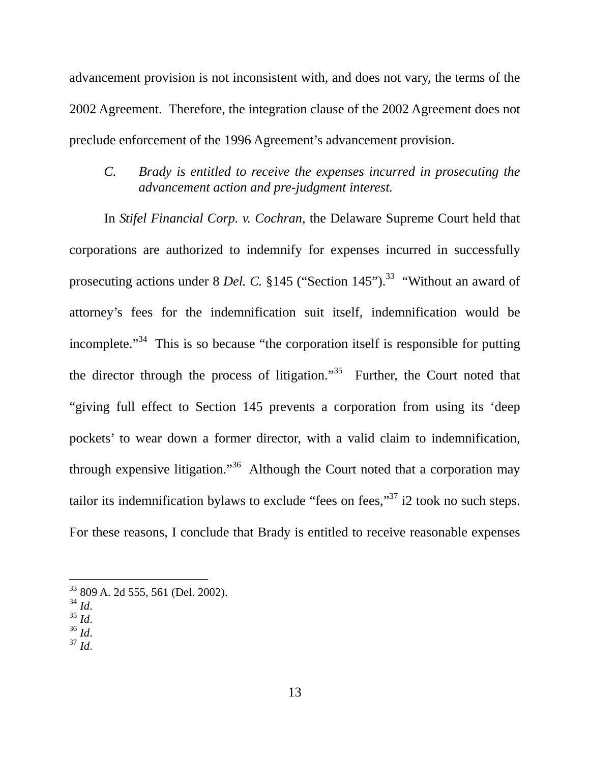advancement provision is not inconsistent with, and does not vary, the terms of the 2002 Agreement. Therefore, the integration clause of the 2002 Agreement does not preclude enforcement of the 1996 Agreement's advancement provision.

*C. Brady is entitled to receive the expenses incurred in prosecuting the advancement action and pre-judgment interest.* 

In *Stifel Financial Corp. v. Cochran*, the Delaware Supreme Court held that corporations are authorized to indemnify for expenses incurred in successfully prosecuting actions under 8 *Del. C.* §145 ("Section 145").<sup>33</sup> "Without an award of attorney's fees for the indemnification suit itself, indemnification would be incomplete."<sup>34</sup> This is so because "the corporation itself is responsible for putting the director through the process of litigation."[35](#page-12-2) Further, the Court noted that "giving full effect to Section 145 prevents a corporation from using its 'deep pockets' to wear down a former director, with a valid claim to indemnification, through expensive litigation."<sup>36</sup> Although the Court noted that a corporation may tailor its indemnification bylaws to exclude "fees on fees," $37$  i2 took no such steps. For these reasons, I conclude that Brady is entitled to receive reasonable expenses

- <span id="page-12-3"></span><span id="page-12-2"></span>
- 34 *Id*. 35 *Id*. 36 *Id*. 37 *Id*.
- <span id="page-12-4"></span>

<span id="page-12-0"></span><sup>33 809</sup> A. 2d 555, 561 (Del. 2002).

<span id="page-12-1"></span>